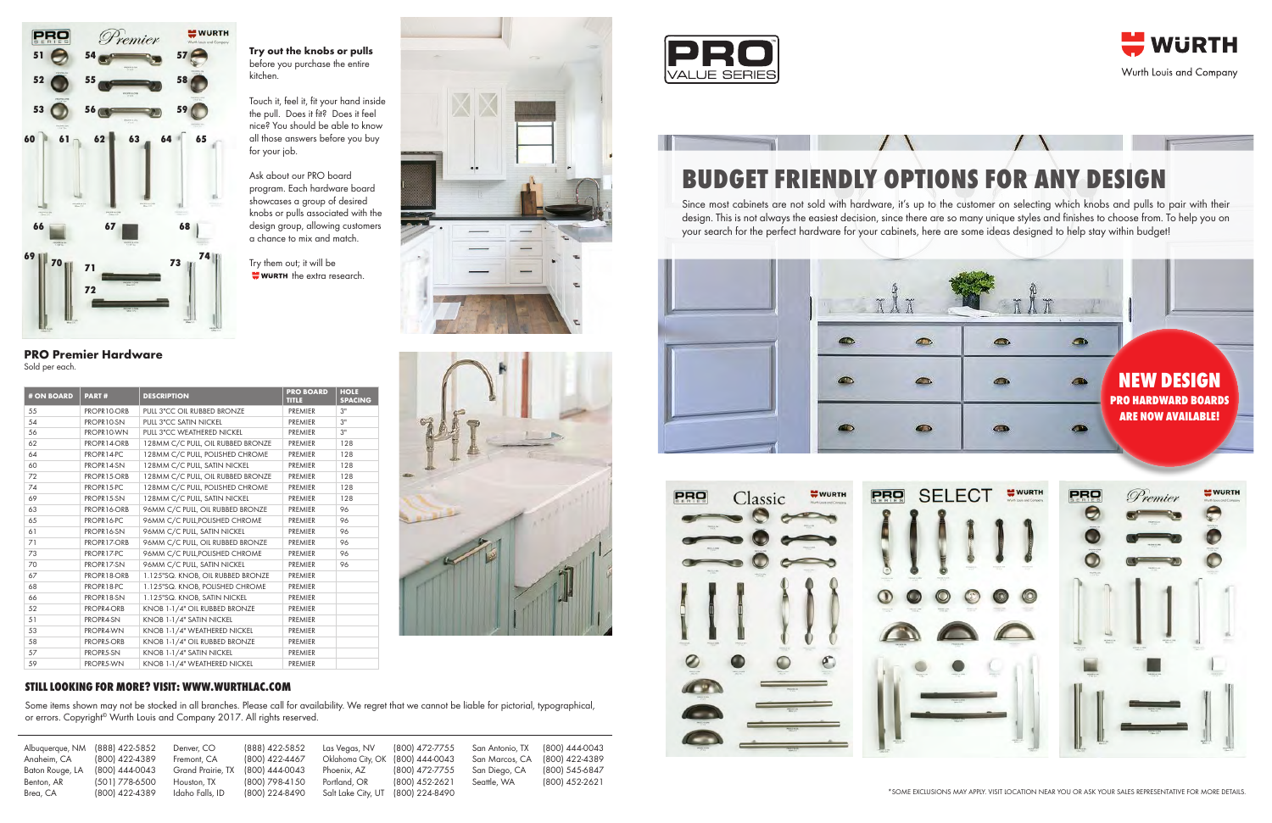| Albuquerque, NM        | (888) 422-5852                   | Denver, CO                     | (888) 422-5852                   | Las Vegas, NV                      | (800) 472-7755                   | San Antonio, TX | (800) 444-0043 |
|------------------------|----------------------------------|--------------------------------|----------------------------------|------------------------------------|----------------------------------|-----------------|----------------|
| Anaheim, CA            | (800) 422-4389                   | Fremont, CA                    | (800) 422-4467                   | Oklahoma City, OK                  | (800) 444-0043                   | San Marcos, CA  | (800) 422-4389 |
| Baton Rouge, LA        | (800) 444-0043                   | Grand Prairie, TX              | (800) 444-0043                   | Phoenix, AZ                        | (800) 472-7755                   | San Diego, CA   | (800) 545-6847 |
| Benton, AR<br>Brea, CA | (501) 778-6500<br>(800) 422-4389 | Houston, TX<br>Idaho Falls, ID | (800) 798-4150<br>(800) 224-8490 | Portland, OR<br>Salt Lake City, UT | (800) 452-2621<br>(800) 224-8490 | Seattle, WA     | (800) 452-2621 |

Some items shown may not be stocked in all branches. Please call for availability. We regret that we cannot be liable for pictorial, typographical, or errors. Copyright<sup>®</sup> Wurth Louis and Company 2017. All rights reserved.



## **Still looking for more? Visit: www.wurthlac.com**



Sold per each.

Try them out; it will be  $\bullet$  wurth the extra research.



| # ON BOARD | <b>PART#</b> | <b>DESCRIPTION</b>                | <b>PRO BOARD</b><br><b>TITLE</b> | <b>HOLE</b><br><b>SPACING</b> |
|------------|--------------|-----------------------------------|----------------------------------|-------------------------------|
| 55         | PROPR10-ORB  | PULL 3"CC OIL RUBBED BRONZE       | PREMIER                          | 3"                            |
| 54         | PROPR10-SN   | PULL 3"CC SATIN NICKEL            | PREMIER                          | 3"                            |
| 56         | PROPR10-WN   | PULL 3"CC WEATHERED NICKEL        | PREMIER                          | 3"                            |
| 62         | PROPR14-ORB  | 128MM C/C PULL, OIL RUBBED BRONZE | PREMIER                          | 128                           |
| 64         | PROPR14-PC   | 128MM C/C PULL, POLISHED CHROME   | PREMIER                          | 128                           |
| 60         | PROPR14-SN   | 128MM C/C PULL, SATIN NICKEL      | PREMIER                          | 128                           |
| 72         | PROPR15-ORB  | 128MM C/C PULL, OIL RUBBED BRONZE | PREMIER                          | 128                           |
| 74         | PROPR15-PC   | 128MM C/C PULL, POLISHED CHROME   | PREMIER                          | 128                           |
| 69         | PROPR15-SN   | 128MM C/C PULL, SATIN NICKEL      | PREMIER                          | 128                           |
| 63         | PROPR16-ORB  | 96MM C/C PULL, OIL RUBBED BRONZE  | PREMIER                          | 96                            |
| 65         | PROPR16-PC   | 96MM C/C PULL, POLISHED CHROME    | PREMIER                          | 96                            |
| 61         | PROPR16-SN   | 96MM C/C PULL, SATIN NICKEL       | PREMIER                          | 96                            |
| 71         | PROPR17-ORB  | 96MM C/C PULL, OIL RUBBED BRONZE  | PREMIER                          | 96                            |
| 73         | PROPR17-PC   | 96MM C/C PULL, POLISHED CHROME    | PREMIER                          | 96                            |
| 70         | PROPR17-SN   | 96MM C/C PULL, SATIN NICKEL       | PREMIER                          | 96                            |
| 67         | PROPR18-ORB  | 1.125"SQ. KNOB, OIL RUBBED BRONZE | PREMIER                          |                               |
| 68         | PROPR18-PC   | 1.125"SQ. KNOB, POLISHED CHROME   | PREMIER                          |                               |
| 66         | PROPR18-SN   | 1.125"SQ. KNOB, SATIN NICKEL      | PREMIER                          |                               |
| 52         | PROPR4-ORB   | KNOB 1-1/4" OIL RUBBED BRONZE     | PREMIER                          |                               |
| 51         | PROPR4-SN    | KNOB 1-1/4" SATIN NICKEL          | PREMIER                          |                               |
| 53         | PROPR4-WN    | KNOB 1-1/4" WEATHERED NICKEL      | PREMIER                          |                               |
| 58         | PROPR5-ORB   | KNOB 1-1/4" OIL RUBBED BRONZE     | PREMIER                          |                               |
| 57         | PROPR5-SN    | KNOB 1-1/4" SATIN NICKEL          | PREMIER                          |                               |
| 59         | PROPR5-WN    | KNOB 1-1/4" WEATHERED NICKEL      | PREMIER                          |                               |



## **BUDGET FRIENDLY OPTIONS FOR ANY DESIGN**

Since most cabinets are not sold with hardware, it's up to the customer on selecting which knobs and pulls to pair with their design. This is not always the easiest decision, since there are so many unique styles and finishes to choose from. To help you on your search for the perfect hardware for your cabinets, here are some ideas designed to help stay within budget!

**Try out the knobs or pulls** before you purchase the entire kitchen.

Touch it, feel it, fit your hand inside the pull. Does it fit? Does it feel nice? You should be able to know all those answers before you buy for your job.

Ask about our PRO board program. Each hardware board showcases a group of desired knobs or pulls associated with the design group, allowing customers a chance to mix and match.